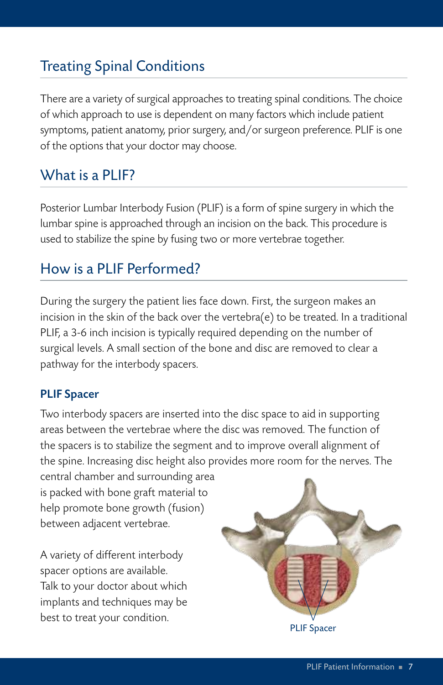# Treating Spinal Conditions

There are a variety of surgical approaches to treating spinal conditions. The choice of which approach to use is dependent on many factors which include patient symptoms, patient anatomy, prior surgery, and/or surgeon preference. PLIF is one of the options that your doctor may choose.

## What is a PLIF?

Posterior Lumbar Interbody Fusion (PLIF) is a form of spine surgery in which the lumbar spine is approached through an incision on the back. This procedure is used to stabilize the spine by fusing two or more vertebrae together.

## How is a PLIF Performed?

During the surgery the patient lies face down. First, the surgeon makes an incision in the skin of the back over the vertebra(e) to be treated. In a traditional PLIF, a 3-6 inch incision is typically required depending on the number of surgical levels. A small section of the bone and disc are removed to clear a pathway for the interbody spacers.

#### PLIF Spacer

Two interbody spacers are inserted into the disc space to aid in supporting areas between the vertebrae where the disc was removed. The function of the spacers is to stabilize the segment and to improve overall alignment of the spine. Increasing disc height also provides more room for the nerves. The

central chamber and surrounding area is packed with bone graft material to help promote bone growth (fusion) between adjacent vertebrae.

A variety of different interbody spacer options are available. Talk to your doctor about which implants and techniques may be best to treat your condition.